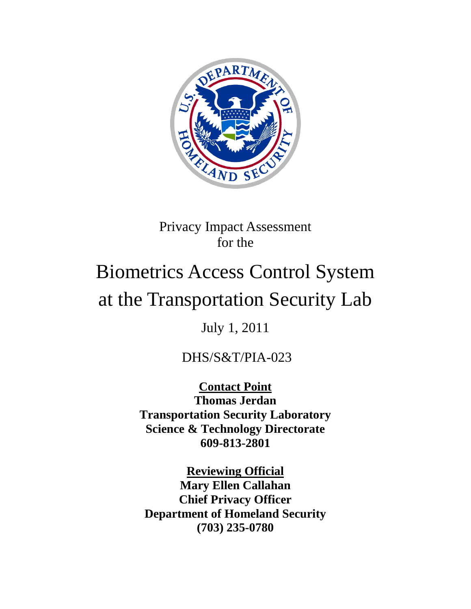

# Privacy Impact Assessment for the

# Biometrics Access Control System at the Transportation Security Lab

July 1, 2011

# DHS/S&T/PIA-023

**Contact Point Thomas Jerdan Transportation Security Laboratory Science & Technology Directorate 609-813-2801**

**Reviewing Official Mary Ellen Callahan Chief Privacy Officer Department of Homeland Security (703) 235-0780**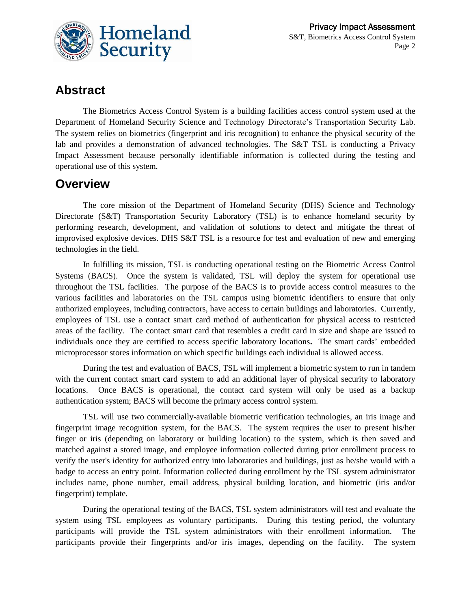

# **Abstract**

The Biometrics Access Control System is a building facilities access control system used at the Department of Homeland Security Science and Technology Directorate's Transportation Security Lab. The system relies on biometrics (fingerprint and iris recognition) to enhance the physical security of the lab and provides a demonstration of advanced technologies. The S&T TSL is conducting a Privacy Impact Assessment because personally identifiable information is collected during the testing and operational use of this system.

# **Overview**

The core mission of the Department of Homeland Security (DHS) Science and Technology Directorate (S&T) Transportation Security Laboratory (TSL) is to enhance homeland security by performing research, development, and validation of solutions to detect and mitigate the threat of improvised explosive devices. DHS S&T TSL is a resource for test and evaluation of new and emerging technologies in the field.

In fulfilling its mission, TSL is conducting operational testing on the Biometric Access Control Systems (BACS). Once the system is validated, TSL will deploy the system for operational use throughout the TSL facilities. The purpose of the BACS is to provide access control measures to the various facilities and laboratories on the TSL campus using biometric identifiers to ensure that only authorized employees, including contractors, have access to certain buildings and laboratories. Currently, employees of TSL use a contact smart card method of authentication for physical access to restricted areas of the facility. The contact smart card that resembles a credit card in size and shape are issued to individuals once they are certified to access specific laboratory locations**.** The smart cards' embedded microprocessor stores information on which specific buildings each individual is allowed access.

During the test and evaluation of BACS, TSL will implement a biometric system to run in tandem with the current contact smart card system to add an additional layer of physical security to laboratory locations. Once BACS is operational, the contact card system will only be used as a backup authentication system; BACS will become the primary access control system.

TSL will use two commercially-available biometric verification technologies, an iris image and fingerprint image recognition system, for the BACS. The system requires the user to present his/her finger or iris (depending on laboratory or building location) to the system, which is then saved and matched against a stored image, and employee information collected during prior enrollment process to verify the user's identity for authorized entry into laboratories and buildings, just as he/she would with a badge to access an entry point. Information collected during enrollment by the TSL system administrator includes name, phone number, email address, physical building location, and biometric (iris and/or fingerprint) template.

During the operational testing of the BACS, TSL system administrators will test and evaluate the system using TSL employees as voluntary participants. During this testing period, the voluntary participants will provide the TSL system administrators with their enrollment information. The participants provide their fingerprints and/or iris images, depending on the facility. The system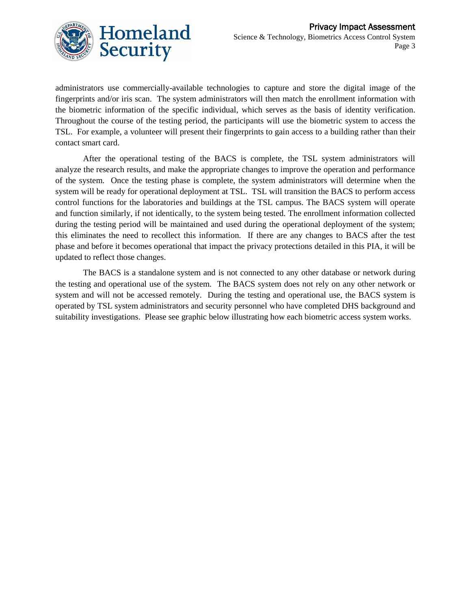

administrators use commercially-available technologies to capture and store the digital image of the fingerprints and/or iris scan. The system administrators will then match the enrollment information with the biometric information of the specific individual, which serves as the basis of identity verification. Throughout the course of the testing period, the participants will use the biometric system to access the TSL. For example, a volunteer will present their fingerprints to gain access to a building rather than their contact smart card.

After the operational testing of the BACS is complete, the TSL system administrators will analyze the research results, and make the appropriate changes to improve the operation and performance of the system. Once the testing phase is complete, the system administrators will determine when the system will be ready for operational deployment at TSL. TSL will transition the BACS to perform access control functions for the laboratories and buildings at the TSL campus. The BACS system will operate and function similarly, if not identically, to the system being tested. The enrollment information collected during the testing period will be maintained and used during the operational deployment of the system; this eliminates the need to recollect this information. If there are any changes to BACS after the test phase and before it becomes operational that impact the privacy protections detailed in this PIA, it will be updated to reflect those changes.

The BACS is a standalone system and is not connected to any other database or network during the testing and operational use of the system. The BACS system does not rely on any other network or system and will not be accessed remotely. During the testing and operational use, the BACS system is operated by TSL system administrators and security personnel who have completed DHS background and suitability investigations. Please see graphic below illustrating how each biometric access system works.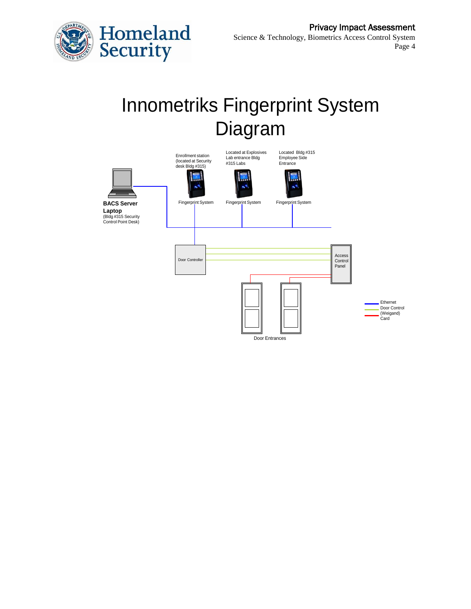

# Innometriks Fingerprint System Diagram

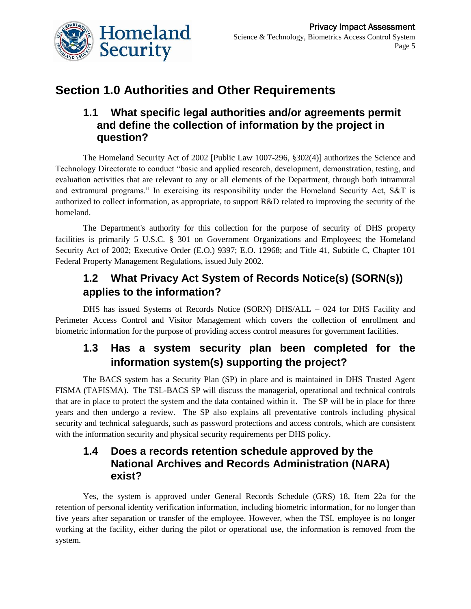

# **Section 1.0 Authorities and Other Requirements**

## **1.1 What specific legal authorities and/or agreements permit and define the collection of information by the project in question?**

The Homeland Security Act of 2002 [Public Law 1007-296, §302(4)] authorizes the Science and Technology Directorate to conduct "basic and applied research, development, demonstration, testing, and evaluation activities that are relevant to any or all elements of the Department, through both intramural and extramural programs." In exercising its responsibility under the Homeland Security Act, S&T is authorized to collect information, as appropriate, to support R&D related to improving the security of the homeland.

The Department's authority for this collection for the purpose of security of DHS property facilities is primarily 5 U.S.C. § 301 on Government Organizations and Employees; the Homeland Security Act of 2002; Executive Order (E.O.) 9397; E.O. 12968; and Title 41, Subtitle C, Chapter 101 Federal Property Management Regulations, issued July 2002.

# **1.2 What Privacy Act System of Records Notice(s) (SORN(s)) applies to the information?**

DHS has issued Systems of Records Notice (SORN) DHS/ALL – 024 for DHS Facility and Perimeter Access Control and Visitor Management which covers the collection of enrollment and biometric information for the purpose of providing access control measures for government facilities.

# **1.3 Has a system security plan been completed for the information system(s) supporting the project?**

The BACS system has a Security Plan (SP) in place and is maintained in DHS Trusted Agent FISMA (TAFISMA). The TSL-BACS SP will discuss the managerial, operational and technical controls that are in place to protect the system and the data contained within it. The SP will be in place for three years and then undergo a review. The SP also explains all preventative controls including physical security and technical safeguards, such as password protections and access controls, which are consistent with the information security and physical security requirements per DHS policy.

## **1.4 Does a records retention schedule approved by the National Archives and Records Administration (NARA) exist?**

Yes, the system is approved under General Records Schedule (GRS) 18, Item 22a for the retention of personal identity verification information, including biometric information, for no longer than five years after separation or transfer of the employee. However, when the TSL employee is no longer working at the facility, either during the pilot or operational use, the information is removed from the system.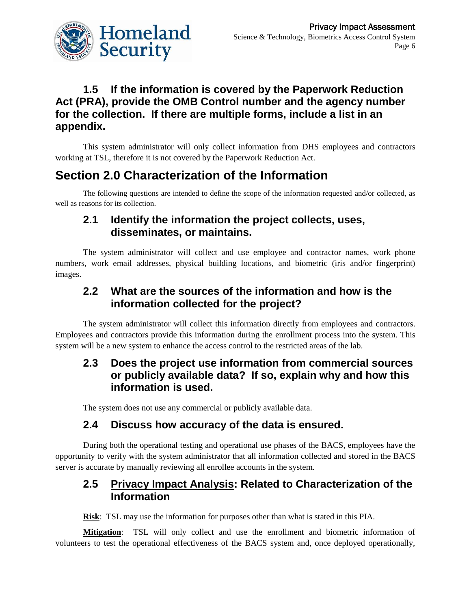

## **1.5 If the information is covered by the Paperwork Reduction Act (PRA), provide the OMB Control number and the agency number for the collection. If there are multiple forms, include a list in an appendix.**

This system administrator will only collect information from DHS employees and contractors working at TSL, therefore it is not covered by the Paperwork Reduction Act.

# **Section 2.0 Characterization of the Information**

The following questions are intended to define the scope of the information requested and/or collected, as well as reasons for its collection.

## **2.1 Identify the information the project collects, uses, disseminates, or maintains.**

The system administrator will collect and use employee and contractor names, work phone numbers, work email addresses, physical building locations, and biometric (iris and/or fingerprint) images.

## **2.2 What are the sources of the information and how is the information collected for the project?**

The system administrator will collect this information directly from employees and contractors. Employees and contractors provide this information during the enrollment process into the system. This system will be a new system to enhance the access control to the restricted areas of the lab.

## **2.3 Does the project use information from commercial sources or publicly available data? If so, explain why and how this information is used.**

The system does not use any commercial or publicly available data.

#### **2.4 Discuss how accuracy of the data is ensured.**

During both the operational testing and operational use phases of the BACS, employees have the opportunity to verify with the system administrator that all information collected and stored in the BACS server is accurate by manually reviewing all enrollee accounts in the system.

#### **2.5 Privacy Impact Analysis: Related to Characterization of the Information**

**Risk**: TSL may use the information for purposes other than what is stated in this PIA.

**Mitigation**: TSL will only collect and use the enrollment and biometric information of volunteers to test the operational effectiveness of the BACS system and, once deployed operationally,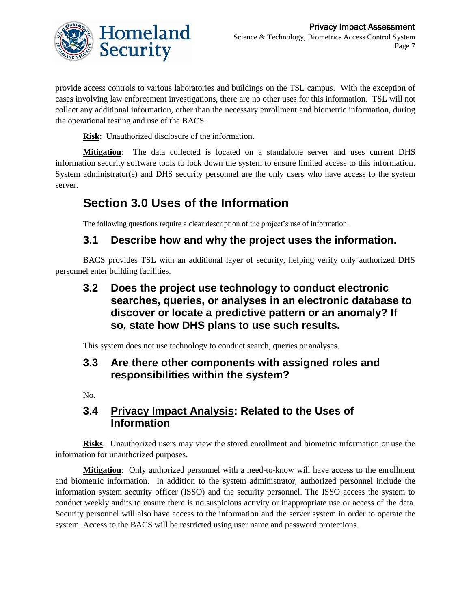

provide access controls to various laboratories and buildings on the TSL campus. With the exception of cases involving law enforcement investigations, there are no other uses for this information. TSL will not collect any additional information, other than the necessary enrollment and biometric information, during the operational testing and use of the BACS.

**Risk**: Unauthorized disclosure of the information.

**Mitigation**: The data collected is located on a standalone server and uses current DHS information security software tools to lock down the system to ensure limited access to this information. System administrator(s) and DHS security personnel are the only users who have access to the system server.

# **Section 3.0 Uses of the Information**

The following questions require a clear description of the project's use of information.

## **3.1 Describe how and why the project uses the information.**

BACS provides TSL with an additional layer of security, helping verify only authorized DHS personnel enter building facilities.

## **3.2 Does the project use technology to conduct electronic searches, queries, or analyses in an electronic database to discover or locate a predictive pattern or an anomaly? If so, state how DHS plans to use such results.**

This system does not use technology to conduct search, queries or analyses.

## **3.3 Are there other components with assigned roles and responsibilities within the system?**

No.

#### **3.4 Privacy Impact Analysis: Related to the Uses of Information**

**Risks**: Unauthorized users may view the stored enrollment and biometric information or use the information for unauthorized purposes.

**Mitigation**: Only authorized personnel with a need-to-know will have access to the enrollment and biometric information. In addition to the system administrator, authorized personnel include the information system security officer (ISSO) and the security personnel. The ISSO access the system to conduct weekly audits to ensure there is no suspicious activity or inappropriate use or access of the data. Security personnel will also have access to the information and the server system in order to operate the system. Access to the BACS will be restricted using user name and password protections.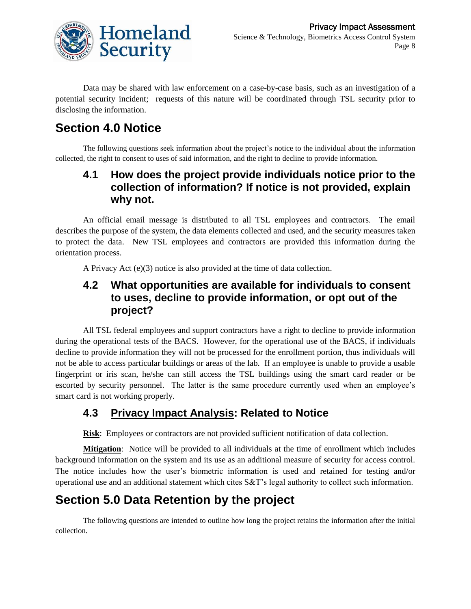

Data may be shared with law enforcement on a case-by-case basis, such as an investigation of a potential security incident; requests of this nature will be coordinated through TSL security prior to disclosing the information.

# **Section 4.0 Notice**

The following questions seek information about the project's notice to the individual about the information collected, the right to consent to uses of said information, and the right to decline to provide information.

## **4.1 How does the project provide individuals notice prior to the collection of information? If notice is not provided, explain why not.**

An official email message is distributed to all TSL employees and contractors. The email describes the purpose of the system, the data elements collected and used, and the security measures taken to protect the data. New TSL employees and contractors are provided this information during the orientation process.

A Privacy Act (e)(3) notice is also provided at the time of data collection.

## **4.2 What opportunities are available for individuals to consent to uses, decline to provide information, or opt out of the project?**

All TSL federal employees and support contractors have a right to decline to provide information during the operational tests of the BACS. However, for the operational use of the BACS, if individuals decline to provide information they will not be processed for the enrollment portion, thus individuals will not be able to access particular buildings or areas of the lab. If an employee is unable to provide a usable fingerprint or iris scan, he/she can still access the TSL buildings using the smart card reader or be escorted by security personnel. The latter is the same procedure currently used when an employee's smart card is not working properly.

# **4.3 Privacy Impact Analysis: Related to Notice**

**Risk**: Employees or contractors are not provided sufficient notification of data collection.

**Mitigation**: Notice will be provided to all individuals at the time of enrollment which includes background information on the system and its use as an additional measure of security for access control. The notice includes how the user's biometric information is used and retained for testing and/or operational use and an additional statement which cites S&T's legal authority to collect such information.

# **Section 5.0 Data Retention by the project**

The following questions are intended to outline how long the project retains the information after the initial collection.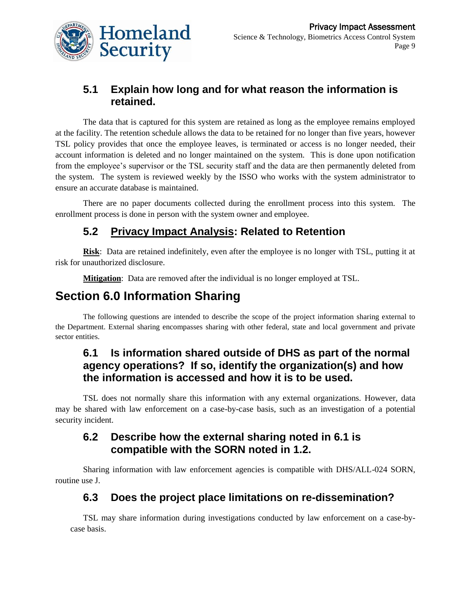

# **5.1 Explain how long and for what reason the information is retained.**

The data that is captured for this system are retained as long as the employee remains employed at the facility. The retention schedule allows the data to be retained for no longer than five years, however TSL policy provides that once the employee leaves, is terminated or access is no longer needed, their account information is deleted and no longer maintained on the system. This is done upon notification from the employee's supervisor or the TSL security staff and the data are then permanently deleted from the system. The system is reviewed weekly by the ISSO who works with the system administrator to ensure an accurate database is maintained.

There are no paper documents collected during the enrollment process into this system. The enrollment process is done in person with the system owner and employee.

# **5.2 Privacy Impact Analysis: Related to Retention**

**Risk**: Data are retained indefinitely, even after the employee is no longer with TSL, putting it at risk for unauthorized disclosure.

**Mitigation**: Data are removed after the individual is no longer employed at TSL.

# **Section 6.0 Information Sharing**

The following questions are intended to describe the scope of the project information sharing external to the Department. External sharing encompasses sharing with other federal, state and local government and private sector entities.

## **6.1 Is information shared outside of DHS as part of the normal agency operations? If so, identify the organization(s) and how the information is accessed and how it is to be used.**

TSL does not normally share this information with any external organizations. However, data may be shared with law enforcement on a case-by-case basis, such as an investigation of a potential security incident.

## **6.2 Describe how the external sharing noted in 6.1 is compatible with the SORN noted in 1.2.**

Sharing information with law enforcement agencies is compatible with DHS/ALL-024 SORN, routine use J.

## **6.3 Does the project place limitations on re-dissemination?**

TSL may share information during investigations conducted by law enforcement on a case-bycase basis.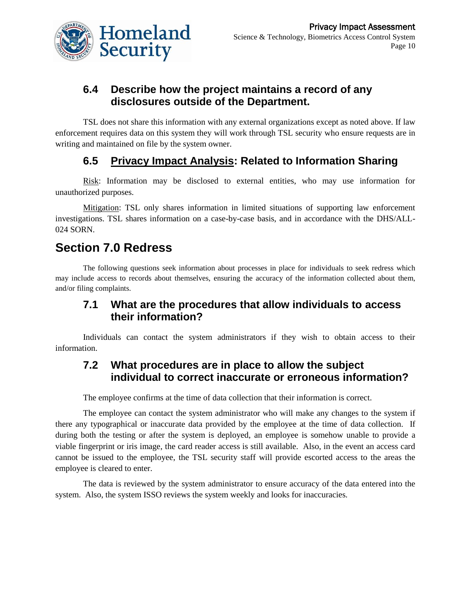

## **6.4 Describe how the project maintains a record of any disclosures outside of the Department.**

TSL does not share this information with any external organizations except as noted above. If law enforcement requires data on this system they will work through TSL security who ensure requests are in writing and maintained on file by the system owner.

# **6.5 Privacy Impact Analysis: Related to Information Sharing**

Risk: Information may be disclosed to external entities, who may use information for unauthorized purposes.

Mitigation: TSL only shares information in limited situations of supporting law enforcement investigations. TSL shares information on a case-by-case basis, and in accordance with the DHS/ALL-024 SORN.

# **Section 7.0 Redress**

The following questions seek information about processes in place for individuals to seek redress which may include access to records about themselves, ensuring the accuracy of the information collected about them, and/or filing complaints.

#### **7.1 What are the procedures that allow individuals to access their information?**

Individuals can contact the system administrators if they wish to obtain access to their information.

#### **7.2 What procedures are in place to allow the subject individual to correct inaccurate or erroneous information?**

The employee confirms at the time of data collection that their information is correct.

The employee can contact the system administrator who will make any changes to the system if there any typographical or inaccurate data provided by the employee at the time of data collection. If during both the testing or after the system is deployed, an employee is somehow unable to provide a viable fingerprint or iris image, the card reader access is still available. Also, in the event an access card cannot be issued to the employee, the TSL security staff will provide escorted access to the areas the employee is cleared to enter.

The data is reviewed by the system administrator to ensure accuracy of the data entered into the system. Also, the system ISSO reviews the system weekly and looks for inaccuracies.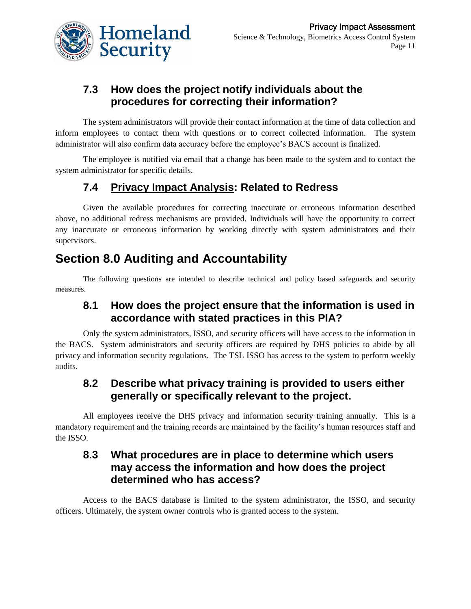

# **7.3 How does the project notify individuals about the procedures for correcting their information?**

The system administrators will provide their contact information at the time of data collection and inform employees to contact them with questions or to correct collected information. The system administrator will also confirm data accuracy before the employee's BACS account is finalized.

The employee is notified via email that a change has been made to the system and to contact the system administrator for specific details.

# **7.4 Privacy Impact Analysis: Related to Redress**

Given the available procedures for correcting inaccurate or erroneous information described above, no additional redress mechanisms are provided. Individuals will have the opportunity to correct any inaccurate or erroneous information by working directly with system administrators and their supervisors.

# **Section 8.0 Auditing and Accountability**

The following questions are intended to describe technical and policy based safeguards and security measures.

## **8.1 How does the project ensure that the information is used in accordance with stated practices in this PIA?**

Only the system administrators, ISSO, and security officers will have access to the information in the BACS. System administrators and security officers are required by DHS policies to abide by all privacy and information security regulations. The TSL ISSO has access to the system to perform weekly audits.

## **8.2 Describe what privacy training is provided to users either generally or specifically relevant to the project.**

All employees receive the DHS privacy and information security training annually. This is a mandatory requirement and the training records are maintained by the facility's human resources staff and the ISSO.

## **8.3 What procedures are in place to determine which users may access the information and how does the project determined who has access?**

Access to the BACS database is limited to the system administrator, the ISSO, and security officers. Ultimately, the system owner controls who is granted access to the system.